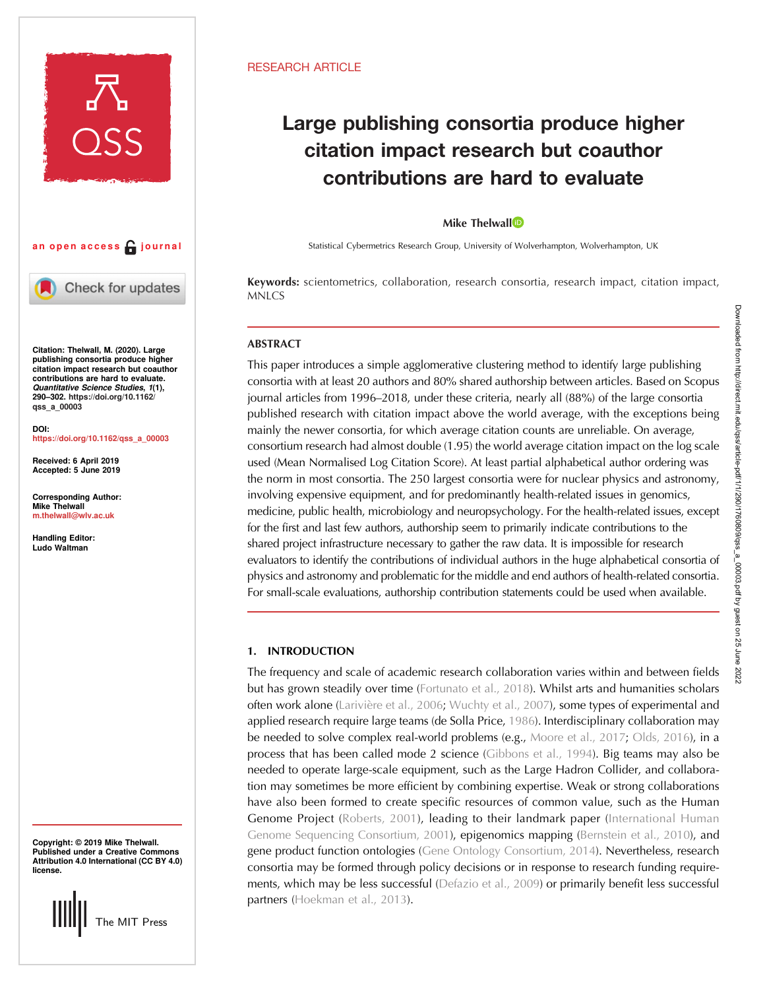



Check for updates

Citation: Thelwall, M. (2020). Large publishing consortia produce higher citation impact research but coauthor contributions are hard to evaluate. Quantitative Science Studies, 1(1), 290–302. [https://doi.org/10.1162/](https://doi.org/10.1162/qss_a_00003) [qss\\_a\\_00003](https://doi.org/10.1162/qss_a_00003)

DOI: [https://doi.org/10.1162/qss\\_a\\_00003](https://doi.org/10.1162/qss_a_00003)

Received: 6 April 2019 Accepted: 5 June 2019

Corresponding Author: Mike Thelwall [m.thelwall@wlv.ac.uk](mailto:m.thelwall@wlv.ac.uk)

Handling Editor: Ludo Waltman

Copyright: © 2019 Mike Thelwall. Published under a Creative Commons Attribution 4.0 International (CC BY 4.0) license.



## RESEARCH ARTICLE

# Large publishing consortia produce higher citation impact research but coauthor contributions are hard to evaluate

## Mike Thelwall<sup>to</sup>

Statistical Cybermetrics Research Group, University of Wolverhampton, Wolverhampton, UK

Keywords: scientometrics, collaboration, research consortia, research impact, citation impact, MNLCS

# ABSTRACT

This paper introduces a simple agglomerative clustering method to identify large publishing consortia with at least 20 authors and 80% shared authorship between articles. Based on Scopus journal articles from 1996–2018, under these criteria, nearly all (88%) of the large consortia published research with citation impact above the world average, with the exceptions being mainly the newer consortia, for which average citation counts are unreliable. On average, consortium research had almost double (1.95) the world average citation impact on the log scale used (Mean Normalised Log Citation Score). At least partial alphabetical author ordering was the norm in most consortia. The 250 largest consortia were for nuclear physics and astronomy, involving expensive equipment, and for predominantly health-related issues in genomics, medicine, public health, microbiology and neuropsychology. For the health-related issues, except for the first and last few authors, authorship seem to primarily indicate contributions to the shared project infrastructure necessary to gather the raw data. It is impossible for research evaluators to identify the contributions of individual authors in the huge alphabetical consortia of physics and astronomy and problematic for the middle and end authors of health-related consortia. For small-scale evaluations, authorship contribution statements could be used when available.

## 1. INTRODUCTION

The frequency and scale of academic research collaboration varies within and between fields but has grown steadily over time [\(Fortunato et al., 2018](#page-11-0)). Whilst arts and humanities scholars often work alone [\(Larivière et al., 2006;](#page-12-0) [Wuchty et al., 2007](#page-12-0)), some types of experimental and applied research require large teams (de Solla Price, [1986](#page-11-0)). Interdisciplinary collaboration may be needed to solve complex real-world problems (e.g., [Moore et al., 2017;](#page-12-0) [Olds, 2016](#page-12-0)), in a process that has been called mode 2 science [\(Gibbons et al., 1994](#page-12-0)). Big teams may also be needed to operate large-scale equipment, such as the Large Hadron Collider, and collaboration may sometimes be more efficient by combining expertise. Weak or strong collaborations have also been formed to create specific resources of common value, such as the Human Genome Project ([Roberts, 2001](#page-12-0)), leading to their landmark paper [\(International Human](#page-12-0) [Genome Sequencing Consortium, 2001](#page-12-0)), epigenomics mapping [\(Bernstein et al., 2010](#page-11-0)), and gene product function ontologies ([Gene Ontology Consortium, 2014\)](#page-12-0). Nevertheless, research consortia may be formed through policy decisions or in response to research funding requirements, which may be less successful [\(Defazio et al., 2009](#page-11-0)) or primarily benefit less successful partners ([Hoekman et al., 2013\)](#page-12-0).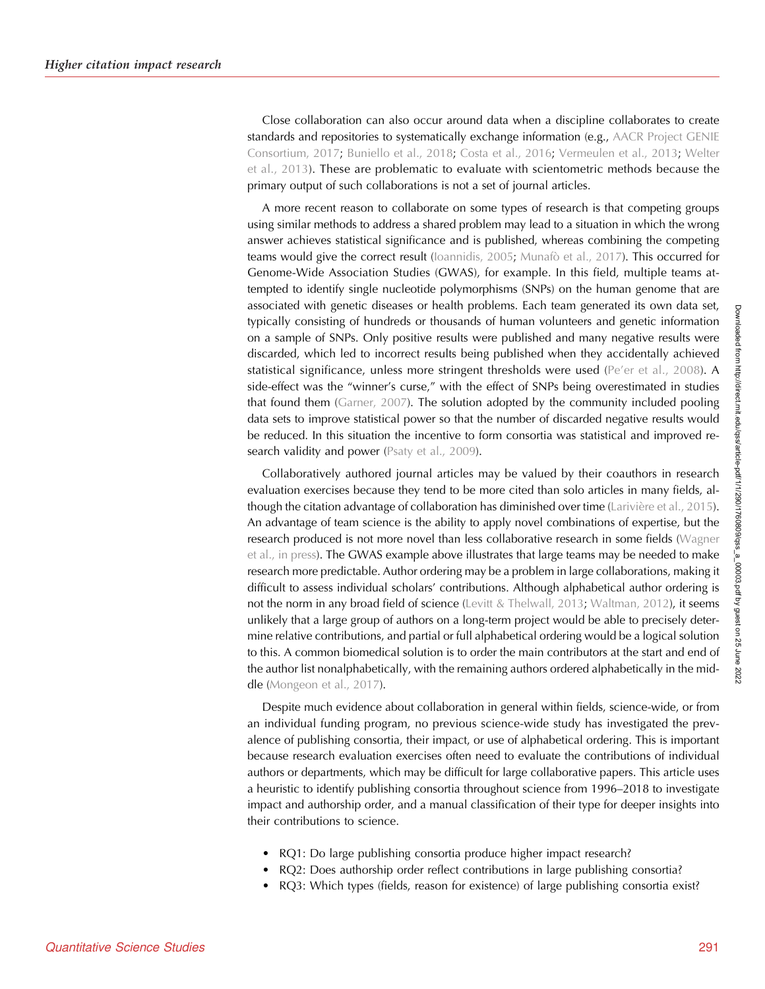Close collaboration can also occur around data when a discipline collaborates to create standards and repositories to systematically exchange information (e.g., [AACR Project GENIE](#page-11-0) [Consortium, 2017](#page-11-0); [Buniello et al., 2018;](#page-11-0) [Costa et al., 2016;](#page-11-0) [Vermeulen et al., 2013;](#page-12-0) [Welter](#page-12-0) [et al., 2013](#page-12-0)). These are problematic to evaluate with scientometric methods because the primary output of such collaborations is not a set of journal articles.

A more recent reason to collaborate on some types of research is that competing groups using similar methods to address a shared problem may lead to a situation in which the wrong answer achieves statistical significance and is published, whereas combining the competing teams would give the correct result [\(Ioannidis, 2005](#page-12-0); [Munafò et al., 2017](#page-12-0)). This occurred for Genome-Wide Association Studies (GWAS), for example. In this field, multiple teams attempted to identify single nucleotide polymorphisms (SNPs) on the human genome that are associated with genetic diseases or health problems. Each team generated its own data set, typically consisting of hundreds or thousands of human volunteers and genetic information on a sample of SNPs. Only positive results were published and many negative results were discarded, which led to incorrect results being published when they accidentally achieved statistical significance, unless more stringent thresholds were used (Pe'[er et al., 2008\)](#page-12-0). A side-effect was the "winner's curse," with the effect of SNPs being overestimated in studies that found them [\(Garner, 2007\)](#page-11-0). The solution adopted by the community included pooling data sets to improve statistical power so that the number of discarded negative results would be reduced. In this situation the incentive to form consortia was statistical and improved re-search validity and power ([Psaty et al., 2009\)](#page-12-0).

Collaboratively authored journal articles may be valued by their coauthors in research evaluation exercises because they tend to be more cited than solo articles in many fields, although the citation advantage of collaboration has diminished over time [\(Larivière et al., 2015\)](#page-12-0). An advantage of team science is the ability to apply novel combinations of expertise, but the research produced is not more novel than less collaborative research in some fields [\(Wagner](#page-12-0) [et al., in press](#page-12-0)). The GWAS example above illustrates that large teams may be needed to make research more predictable. Author ordering may be a problem in large collaborations, making it difficult to assess individual scholars' contributions. Although alphabetical author ordering is not the norm in any broad field of science ([Levitt & Thelwall, 2013;](#page-12-0) [Waltman, 2012\)](#page-12-0), it seems unlikely that a large group of authors on a long-term project would be able to precisely determine relative contributions, and partial or full alphabetical ordering would be a logical solution to this. A common biomedical solution is to order the main contributors at the start and end of the author list nonalphabetically, with the remaining authors ordered alphabetically in the mid-dle ([Mongeon et al., 2017\)](#page-12-0).

Despite much evidence about collaboration in general within fields, science-wide, or from an individual funding program, no previous science-wide study has investigated the prevalence of publishing consortia, their impact, or use of alphabetical ordering. This is important because research evaluation exercises often need to evaluate the contributions of individual authors or departments, which may be difficult for large collaborative papers. This article uses a heuristic to identify publishing consortia throughout science from 1996–2018 to investigate impact and authorship order, and a manual classification of their type for deeper insights into their contributions to science.

- RQ1: Do large publishing consortia produce higher impact research?
- RQ2: Does authorship order reflect contributions in large publishing consortia?
- RQ3: Which types (fields, reason for existence) of large publishing consortia exist?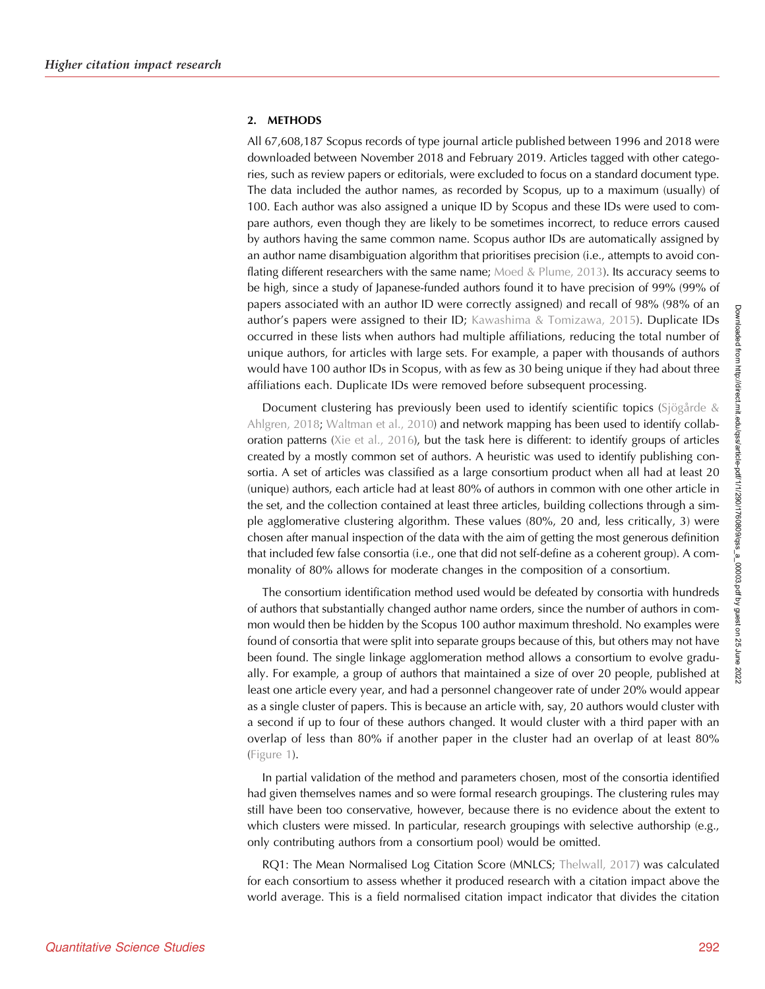## 2. METHODS

All 67,608,187 Scopus records of type journal article published between 1996 and 2018 were downloaded between November 2018 and February 2019. Articles tagged with other categories, such as review papers or editorials, were excluded to focus on a standard document type. The data included the author names, as recorded by Scopus, up to a maximum (usually) of 100. Each author was also assigned a unique ID by Scopus and these IDs were used to compare authors, even though they are likely to be sometimes incorrect, to reduce errors caused by authors having the same common name. Scopus author IDs are automatically assigned by an author name disambiguation algorithm that prioritises precision (i.e., attempts to avoid conflating different researchers with the same name; Moed  $&$  Plume, 2013). Its accuracy seems to be high, since a study of Japanese-funded authors found it to have precision of 99% (99% of papers associated with an author ID were correctly assigned) and recall of 98% (98% of an author's papers were assigned to their ID; [Kawashima & Tomizawa, 2015](#page-12-0)). Duplicate IDs occurred in these lists when authors had multiple affiliations, reducing the total number of unique authors, for articles with large sets. For example, a paper with thousands of authors would have 100 author IDs in Scopus, with as few as 30 being unique if they had about three affiliations each. Duplicate IDs were removed before subsequent processing.

Document clustering has previously been used to identify scientific topics ([Sjögårde &](#page-12-0) [Ahlgren, 2018](#page-12-0); [Waltman et al., 2010](#page-12-0)) and network mapping has been used to identify collaboration patterns ([Xie et al., 2016](#page-12-0)), but the task here is different: to identify groups of articles created by a mostly common set of authors. A heuristic was used to identify publishing consortia. A set of articles was classified as a large consortium product when all had at least 20 (unique) authors, each article had at least 80% of authors in common with one other article in the set, and the collection contained at least three articles, building collections through a simple agglomerative clustering algorithm. These values (80%, 20 and, less critically, 3) were chosen after manual inspection of the data with the aim of getting the most generous definition that included few false consortia (i.e., one that did not self-define as a coherent group). A commonality of 80% allows for moderate changes in the composition of a consortium.

The consortium identification method used would be defeated by consortia with hundreds of authors that substantially changed author name orders, since the number of authors in common would then be hidden by the Scopus 100 author maximum threshold. No examples were found of consortia that were split into separate groups because of this, but others may not have been found. The single linkage agglomeration method allows a consortium to evolve gradually. For example, a group of authors that maintained a size of over 20 people, published at least one article every year, and had a personnel changeover rate of under 20% would appear as a single cluster of papers. This is because an article with, say, 20 authors would cluster with a second if up to four of these authors changed. It would cluster with a third paper with an overlap of less than 80% if another paper in the cluster had an overlap of at least 80% ([Figure 1](#page-3-0)).

In partial validation of the method and parameters chosen, most of the consortia identified had given themselves names and so were formal research groupings. The clustering rules may still have been too conservative, however, because there is no evidence about the extent to which clusters were missed. In particular, research groupings with selective authorship (e.g., only contributing authors from a consortium pool) would be omitted.

RQ1: The Mean Normalised Log Citation Score (MNLCS; [Thelwall, 2017](#page-12-0)) was calculated for each consortium to assess whether it produced research with a citation impact above the world average. This is a field normalised citation impact indicator that divides the citation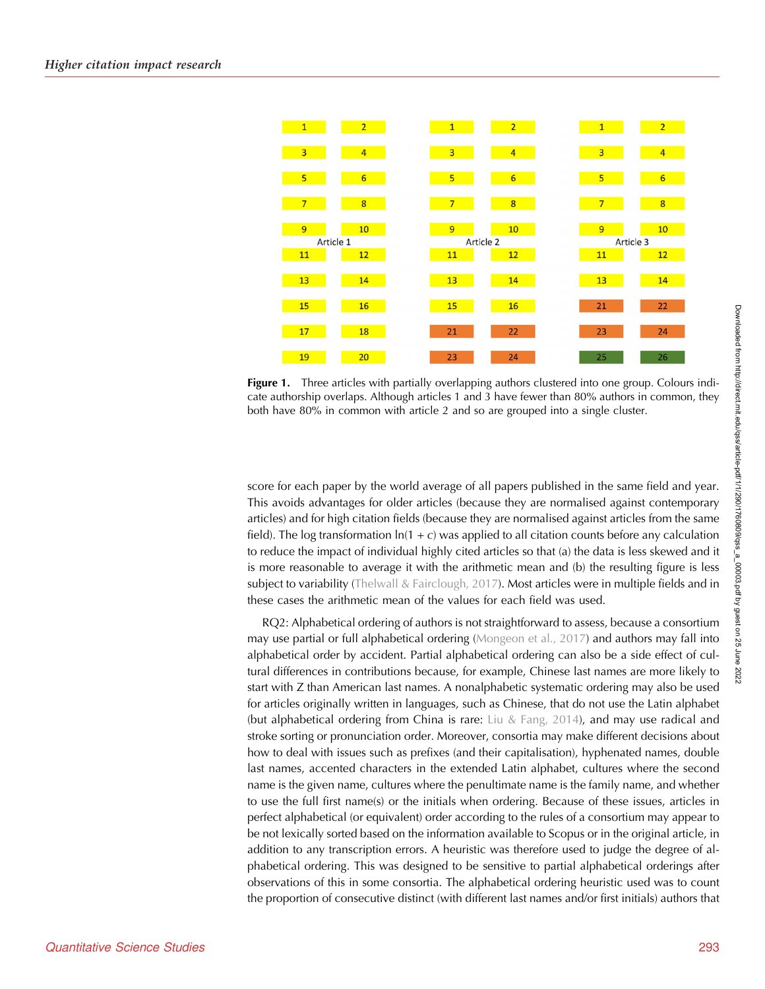<span id="page-3-0"></span>

Figure 1. Three articles with partially overlapping authors clustered into one group. Colours indicate authorship overlaps. Although articles 1 and 3 have fewer than 80% authors in common, they both have 80% in common with article 2 and so are grouped into a single cluster.

score for each paper by the world average of all papers published in the same field and year. This avoids advantages for older articles (because they are normalised against contemporary articles) and for high citation fields (because they are normalised against articles from the same field). The log transformation  $ln(1 + c)$  was applied to all citation counts before any calculation to reduce the impact of individual highly cited articles so that (a) the data is less skewed and it is more reasonable to average it with the arithmetic mean and (b) the resulting figure is less subject to variability ([Thelwall & Fairclough, 2017\)](#page-12-0). Most articles were in multiple fields and in these cases the arithmetic mean of the values for each field was used.

RQ2: Alphabetical ordering of authors is not straightforward to assess, because a consortium may use partial or full alphabetical ordering [\(Mongeon et al., 2017](#page-12-0)) and authors may fall into alphabetical order by accident. Partial alphabetical ordering can also be a side effect of cultural differences in contributions because, for example, Chinese last names are more likely to start with Z than American last names. A nonalphabetic systematic ordering may also be used for articles originally written in languages, such as Chinese, that do not use the Latin alphabet (but alphabetical ordering from China is rare: [Liu & Fang, 2014\)](#page-12-0), and may use radical and stroke sorting or pronunciation order. Moreover, consortia may make different decisions about how to deal with issues such as prefixes (and their capitalisation), hyphenated names, double last names, accented characters in the extended Latin alphabet, cultures where the second name is the given name, cultures where the penultimate name is the family name, and whether to use the full first name(s) or the initials when ordering. Because of these issues, articles in perfect alphabetical (or equivalent) order according to the rules of a consortium may appear to be not lexically sorted based on the information available to Scopus or in the original article, in addition to any transcription errors. A heuristic was therefore used to judge the degree of alphabetical ordering. This was designed to be sensitive to partial alphabetical orderings after observations of this in some consortia. The alphabetical ordering heuristic used was to count the proportion of consecutive distinct (with different last names and/or first initials) authors that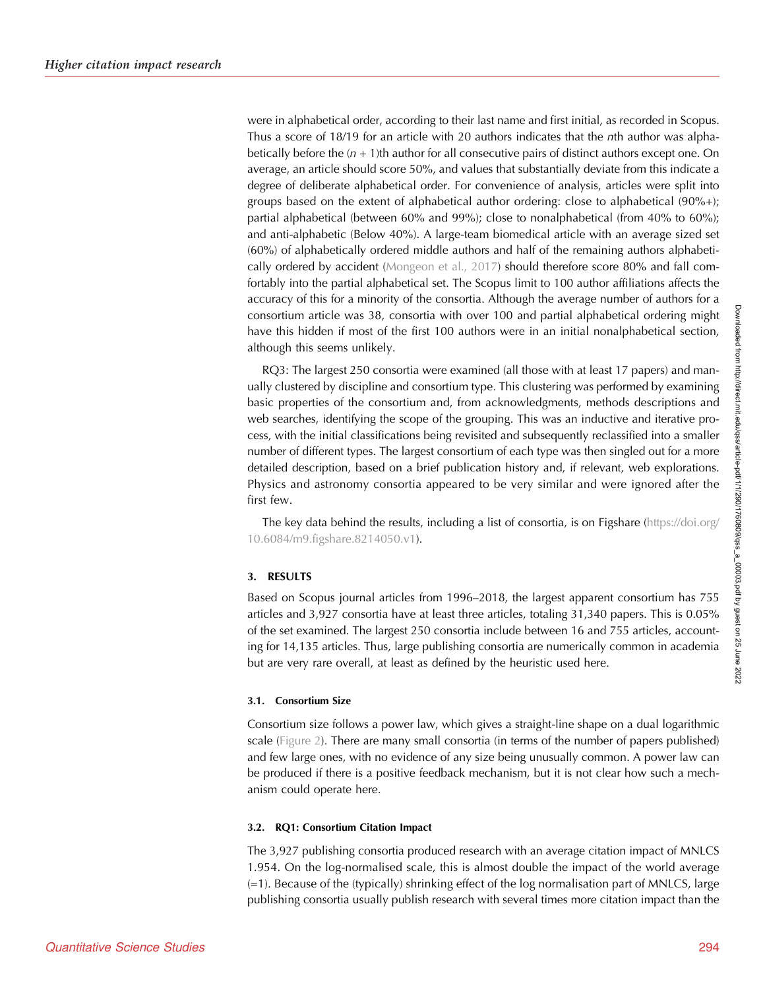were in alphabetical order, according to their last name and first initial, as recorded in Scopus. Thus a score of 18/19 for an article with 20 authors indicates that the nth author was alphabetically before the  $(n + 1)$ th author for all consecutive pairs of distinct authors except one. On average, an article should score 50%, and values that substantially deviate from this indicate a degree of deliberate alphabetical order. For convenience of analysis, articles were split into groups based on the extent of alphabetical author ordering: close to alphabetical (90%+); partial alphabetical (between 60% and 99%); close to nonalphabetical (from 40% to 60%); and anti-alphabetic (Below 40%). A large-team biomedical article with an average sized set (60%) of alphabetically ordered middle authors and half of the remaining authors alphabetically ordered by accident ([Mongeon et al., 2017](#page-12-0)) should therefore score 80% and fall comfortably into the partial alphabetical set. The Scopus limit to 100 author affiliations affects the accuracy of this for a minority of the consortia. Although the average number of authors for a consortium article was 38, consortia with over 100 and partial alphabetical ordering might have this hidden if most of the first 100 authors were in an initial nonalphabetical section, although this seems unlikely.

RQ3: The largest 250 consortia were examined (all those with at least 17 papers) and manually clustered by discipline and consortium type. This clustering was performed by examining basic properties of the consortium and, from acknowledgments, methods descriptions and web searches, identifying the scope of the grouping. This was an inductive and iterative process, with the initial classifications being revisited and subsequently reclassified into a smaller number of different types. The largest consortium of each type was then singled out for a more detailed description, based on a brief publication history and, if relevant, web explorations. Physics and astronomy consortia appeared to be very similar and were ignored after the first few.

The key data behind the results, including a list of consortia, is on Figshare ([https://doi.org/](https://doi.org/10.6084/m9.figshare.8214050.v1) [10.6084/m9.figshare.8214050.v1](https://doi.org/10.6084/m9.figshare.8214050.v1)).

## 3. RESULTS

Based on Scopus journal articles from 1996–2018, the largest apparent consortium has 755 articles and 3,927 consortia have at least three articles, totaling 31,340 papers. This is 0.05% of the set examined. The largest 250 consortia include between 16 and 755 articles, accounting for 14,135 articles. Thus, large publishing consortia are numerically common in academia but are very rare overall, at least as defined by the heuristic used here.

## 3.1. Consortium Size

Consortium size follows a power law, which gives a straight-line shape on a dual logarithmic scale ([Figure 2\)](#page-5-0). There are many small consortia (in terms of the number of papers published) and few large ones, with no evidence of any size being unusually common. A power law can be produced if there is a positive feedback mechanism, but it is not clear how such a mechanism could operate here.

# 3.2. RQ1: Consortium Citation Impact

The 3,927 publishing consortia produced research with an average citation impact of MNLCS 1.954. On the log-normalised scale, this is almost double the impact of the world average (=1). Because of the (typically) shrinking effect of the log normalisation part of MNLCS, large publishing consortia usually publish research with several times more citation impact than the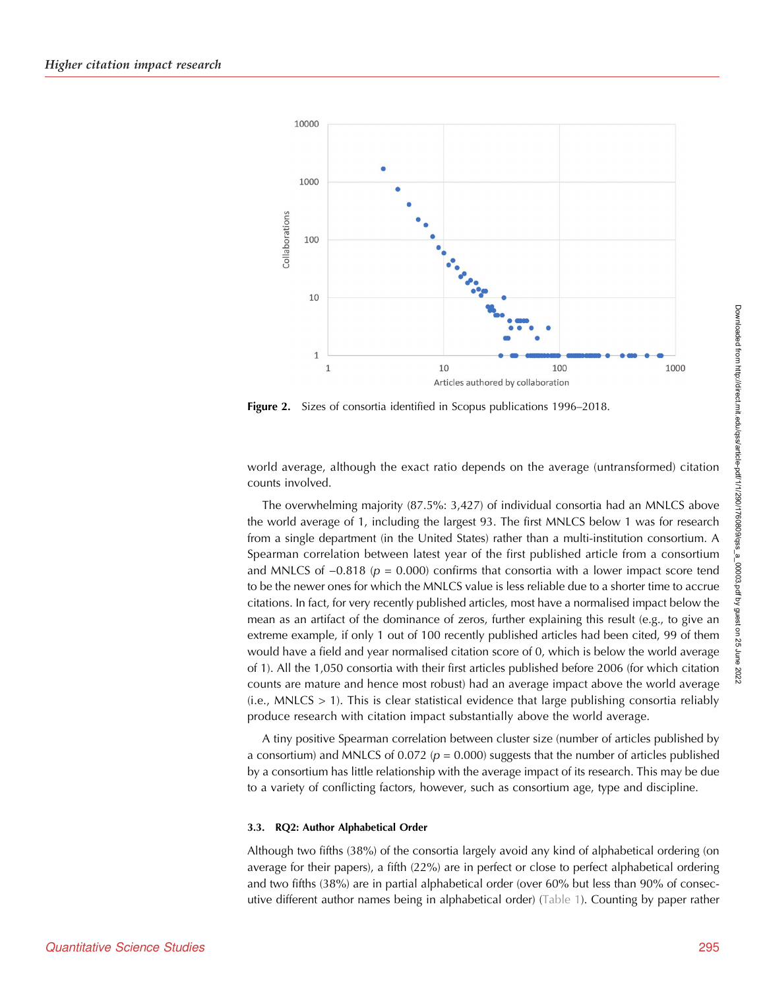<span id="page-5-0"></span>

Figure 2. Sizes of consortia identified in Scopus publications 1996-2018.

world average, although the exact ratio depends on the average (untransformed) citation counts involved.

The overwhelming majority (87.5%: 3,427) of individual consortia had an MNLCS above the world average of 1, including the largest 93. The first MNLCS below 1 was for research from a single department (in the United States) rather than a multi-institution consortium. A Spearman correlation between latest year of the first published article from a consortium and MNLCS of  $-0.818$  ( $p = 0.000$ ) confirms that consortia with a lower impact score tend to be the newer ones for which the MNLCS value is less reliable due to a shorter time to accrue citations. In fact, for very recently published articles, most have a normalised impact below the mean as an artifact of the dominance of zeros, further explaining this result (e.g., to give an extreme example, if only 1 out of 100 recently published articles had been cited, 99 of them would have a field and year normalised citation score of 0, which is below the world average of 1). All the 1,050 consortia with their first articles published before 2006 (for which citation counts are mature and hence most robust) had an average impact above the world average  $(i.e., MNLCS > 1)$ . This is clear statistical evidence that large publishing consortia reliably produce research with citation impact substantially above the world average.

A tiny positive Spearman correlation between cluster size (number of articles published by a consortium) and MNLCS of 0.072 ( $p = 0.000$ ) suggests that the number of articles published by a consortium has little relationship with the average impact of its research. This may be due to a variety of conflicting factors, however, such as consortium age, type and discipline.

#### 3.3. RQ2: Author Alphabetical Order

Although two fifths (38%) of the consortia largely avoid any kind of alphabetical ordering (on average for their papers), a fifth (22%) are in perfect or close to perfect alphabetical ordering and two fifths (38%) are in partial alphabetical order (over 60% but less than 90% of consecutive different author names being in alphabetical order) [\(Table 1](#page-6-0)). Counting by paper rather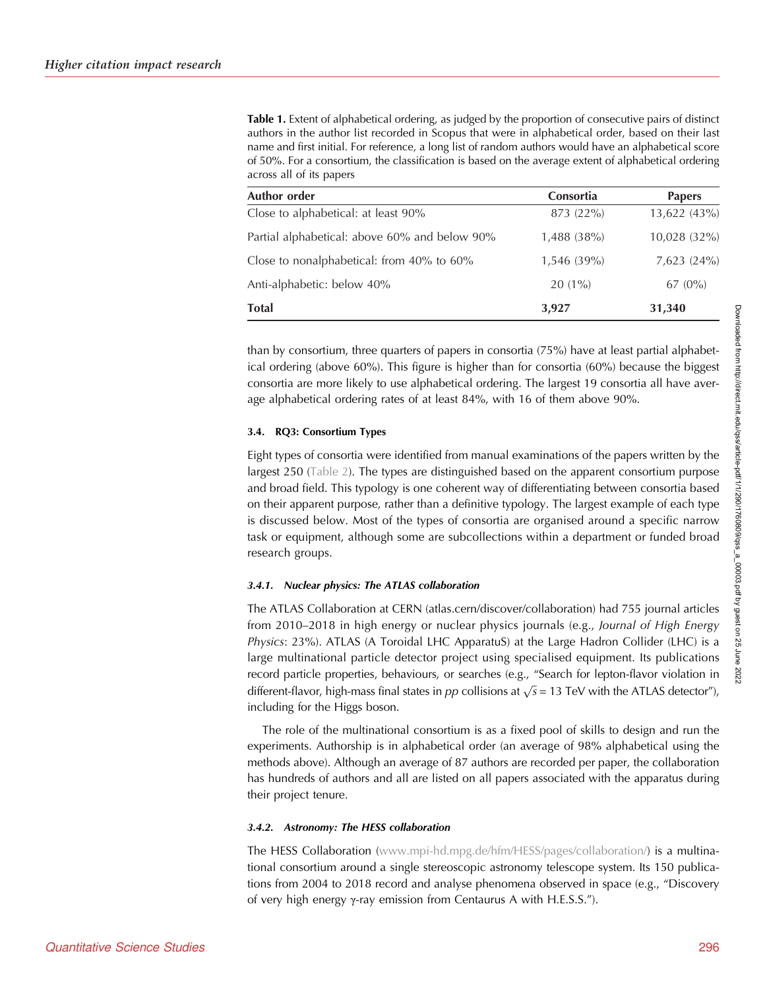<span id="page-6-0"></span>Table 1. Extent of alphabetical ordering, as judged by the proportion of consecutive pairs of distinct authors in the author list recorded in Scopus that were in alphabetical order, based on their last name and first initial. For reference, a long list of random authors would have an alphabetical score of 50%. For a consortium, the classification is based on the average extent of alphabetical ordering across all of its papers

| Author order                                  | <b>Consortia</b> | <b>Papers</b> |
|-----------------------------------------------|------------------|---------------|
| Close to alphabetical: at least 90%           | 873 (22%)        | 13,622 (43%)  |
| Partial alphabetical: above 60% and below 90% | $1,488$ (38%)    | 10,028 (32%)  |
| Close to nonalphabetical: from 40% to 60%     | $1,546(39\%)$    | 7,623(24%)    |
| Anti-alphabetic: below 40%                    | $20(1\%)$        | $67(0\%)$     |
| <b>Total</b>                                  | 3,927            | 31,340        |

than by consortium, three quarters of papers in consortia (75%) have at least partial alphabetical ordering (above 60%). This figure is higher than for consortia (60%) because the biggest consortia are more likely to use alphabetical ordering. The largest 19 consortia all have average alphabetical ordering rates of at least 84%, with 16 of them above 90%.

### 3.4. RQ3: Consortium Types

Eight types of consortia were identified from manual examinations of the papers written by the largest 250 [\(Table 2](#page-7-0)). The types are distinguished based on the apparent consortium purpose and broad field. This typology is one coherent way of differentiating between consortia based on their apparent purpose, rather than a definitive typology. The largest example of each type is discussed below. Most of the types of consortia are organised around a specific narrow task or equipment, although some are subcollections within a department or funded broad research groups.

#### 3.4.1. Nuclear physics: The ATLAS collaboration

The ATLAS Collaboration at CERN (atlas.cern/discover/collaboration) had 755 journal articles from 2010–2018 in high energy or nuclear physics journals (e.g., Journal of High Energy Physics: 23%). ATLAS (A Toroidal LHC ApparatuS) at the Large Hadron Collider (LHC) is a large multinational particle detector project using specialised equipment. Its publications record particle properties, behaviours, or searches (e.g., "Search for lepton-flavor violation in record particle properties, behaviours, or searches (e.g., search for repton-havor violation in<br>different-flavor, high-mass final states in  $pp$  collisions at  $\sqrt{s} = 13$  TeV with the ATLAS detector"), including for the Higgs boson.

The role of the multinational consortium is as a fixed pool of skills to design and run the experiments. Authorship is in alphabetical order (an average of 98% alphabetical using the methods above). Although an average of 87 authors are recorded per paper, the collaboration has hundreds of authors and all are listed on all papers associated with the apparatus during their project tenure.

## 3.4.2. Astronomy: The HESS collaboration

The HESS Collaboration ([www.mpi-hd.mpg.de/hfm/HESS/pages/collaboration/](https://www.mpi-hd.mpg.de/hfm/HESS/pages/collaboration/)) is a multinational consortium around a single stereoscopic astronomy telescope system. Its 150 publications from 2004 to 2018 record and analyse phenomena observed in space (e.g., "Discovery of very high energy γ-ray emission from Centaurus A with H.E.S.S.").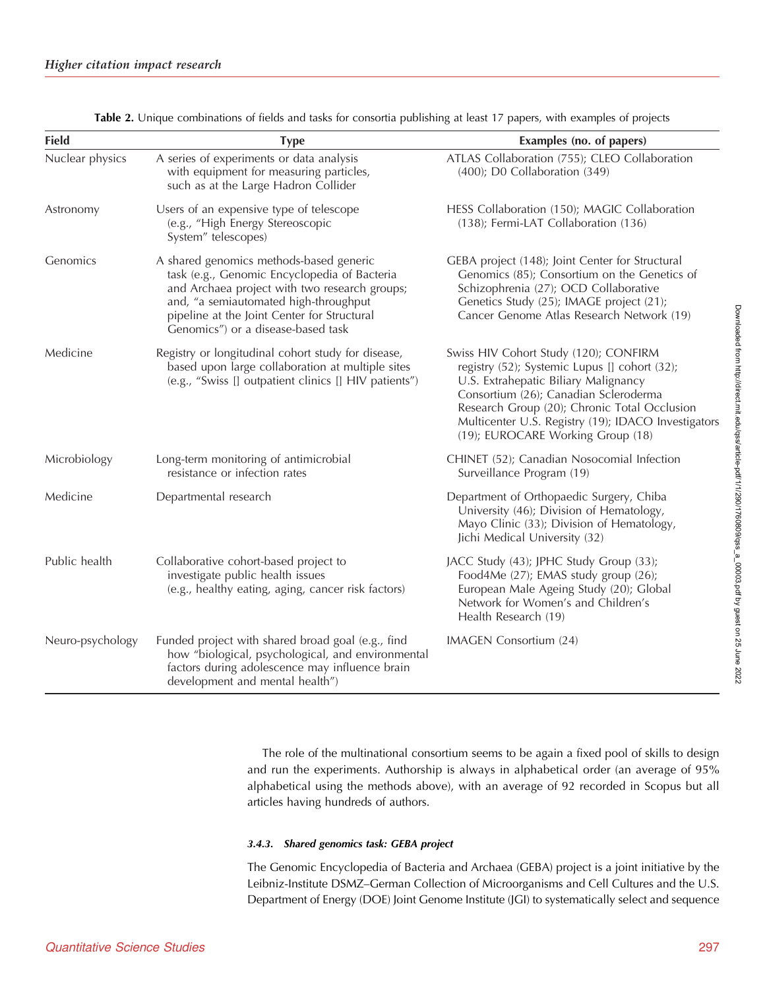<span id="page-7-0"></span>

| <b>Field</b>     | <b>Type</b>                                                                                                                                                                                                                                                            | Examples (no. of papers)                                                                                                                                                                                                                                                                                            |
|------------------|------------------------------------------------------------------------------------------------------------------------------------------------------------------------------------------------------------------------------------------------------------------------|---------------------------------------------------------------------------------------------------------------------------------------------------------------------------------------------------------------------------------------------------------------------------------------------------------------------|
| Nuclear physics  | A series of experiments or data analysis<br>with equipment for measuring particles,<br>such as at the Large Hadron Collider                                                                                                                                            | ATLAS Collaboration (755); CLEO Collaboration<br>$(400)$ ; D0 Collaboration $(349)$                                                                                                                                                                                                                                 |
| Astronomy        | Users of an expensive type of telescope<br>(e.g., "High Energy Stereoscopic<br>System" telescopes)                                                                                                                                                                     | HESS Collaboration (150); MAGIC Collaboration<br>(138); Fermi-LAT Collaboration (136)                                                                                                                                                                                                                               |
| Genomics         | A shared genomics methods-based generic<br>task (e.g., Genomic Encyclopedia of Bacteria<br>and Archaea project with two research groups;<br>and, "a semiautomated high-throughput<br>pipeline at the Joint Center for Structural<br>Genomics") or a disease-based task | GEBA project (148); Joint Center for Structural<br>Genomics (85); Consortium on the Genetics of<br>Schizophrenia (27); OCD Collaborative<br>Genetics Study (25); IMAGE project (21);<br>Cancer Genome Atlas Research Network (19)                                                                                   |
| Medicine         | Registry or longitudinal cohort study for disease,<br>based upon large collaboration at multiple sites<br>(e.g., "Swiss [] outpatient clinics [] HIV patients")                                                                                                        | Swiss HIV Cohort Study (120); CONFIRM<br>registry (52); Systemic Lupus [] cohort (32);<br>U.S. Extrahepatic Biliary Malignancy<br>Consortium (26); Canadian Scleroderma<br>Research Group (20); Chronic Total Occlusion<br>Multicenter U.S. Registry (19); IDACO Investigators<br>(19); EUROCARE Working Group (18) |
| Microbiology     | Long-term monitoring of antimicrobial<br>resistance or infection rates                                                                                                                                                                                                 | CHINET (52); Canadian Nosocomial Infection<br>Surveillance Program (19)                                                                                                                                                                                                                                             |
| Medicine         | Departmental research                                                                                                                                                                                                                                                  | Department of Orthopaedic Surgery, Chiba<br>University (46); Division of Hematology,<br>Mayo Clinic (33); Division of Hematology,<br>Jichi Medical University (32)                                                                                                                                                  |
| Public health    | Collaborative cohort-based project to<br>investigate public health issues<br>(e.g., healthy eating, aging, cancer risk factors)                                                                                                                                        | JACC Study (43); JPHC Study Group (33);<br>Food4Me (27); EMAS study group (26);<br>European Male Ageing Study (20); Global<br>Network for Women's and Children's<br>Health Research (19)                                                                                                                            |
| Neuro-psychology | Funded project with shared broad goal (e.g., find<br>how "biological, psychological, and environmental<br>factors during adolescence may influence brain<br>development and mental health")                                                                            | IMAGEN Consortium (24)                                                                                                                                                                                                                                                                                              |

Table 2. Unique combinations of fields and tasks for consortia publishing at least 17 papers, with examples of projects

The role of the multinational consortium seems to be again a fixed pool of skills to design and run the experiments. Authorship is always in alphabetical order (an average of 95% alphabetical using the methods above), with an average of 92 recorded in Scopus but all articles having hundreds of authors.

#### 3.4.3. Shared genomics task: GEBA project

The Genomic Encyclopedia of Bacteria and Archaea (GEBA) project is a joint initiative by the Leibniz-Institute DSMZ–German Collection of Microorganisms and Cell Cultures and the U.S. Department of Energy (DOE) Joint Genome Institute (JGI) to systematically select and sequence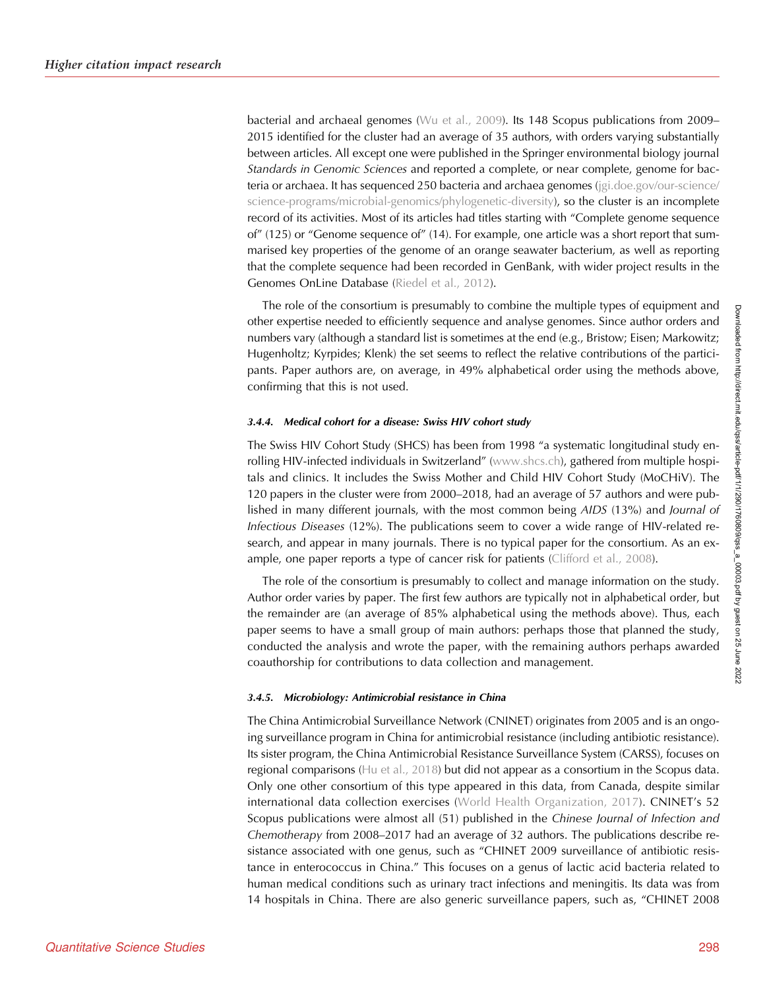bacterial and archaeal genomes ([Wu et al., 2009](#page-12-0)). Its 148 Scopus publications from 2009– 2015 identified for the cluster had an average of 35 authors, with orders varying substantially between articles. All except one were published in the Springer environmental biology journal Standards in Genomic Sciences and reported a complete, or near complete, genome for bacteria or archaea. It has sequenced 250 bacteria and archaea genomes [\(jgi.doe.gov/our-science/](http://jgi.doe.gov/our-science/science-programs/microbial-genomics/phylogenetic-diversity) [science-programs/microbial-genomics/phylogenetic-diversity](http://jgi.doe.gov/our-science/science-programs/microbial-genomics/phylogenetic-diversity)), so the cluster is an incomplete record of its activities. Most of its articles had titles starting with "Complete genome sequence of" (125) or "Genome sequence of" (14). For example, one article was a short report that summarised key properties of the genome of an orange seawater bacterium, as well as reporting that the complete sequence had been recorded in GenBank, with wider project results in the Genomes OnLine Database ([Riedel et al., 2012](#page-12-0)).

The role of the consortium is presumably to combine the multiple types of equipment and other expertise needed to efficiently sequence and analyse genomes. Since author orders and numbers vary (although a standard list is sometimes at the end (e.g., Bristow; Eisen; Markowitz; Hugenholtz; Kyrpides; Klenk) the set seems to reflect the relative contributions of the participants. Paper authors are, on average, in 49% alphabetical order using the methods above, confirming that this is not used.

#### 3.4.4. Medical cohort for a disease: Swiss HIV cohort study

The Swiss HIV Cohort Study (SHCS) has been from 1998 "a systematic longitudinal study enrolling HIV-infected individuals in Switzerland" ([www.shcs.ch\)](http://www.shcs.ch), gathered from multiple hospitals and clinics. It includes the Swiss Mother and Child HIV Cohort Study (MoCHiV). The 120 papers in the cluster were from 2000–2018, had an average of 57 authors and were published in many different journals, with the most common being AIDS (13%) and Journal of Infectious Diseases (12%). The publications seem to cover a wide range of HIV-related research, and appear in many journals. There is no typical paper for the consortium. As an ex-ample, one paper reports a type of cancer risk for patients ([Clifford et al., 2008\)](#page-11-0).

The role of the consortium is presumably to collect and manage information on the study. Author order varies by paper. The first few authors are typically not in alphabetical order, but the remainder are (an average of 85% alphabetical using the methods above). Thus, each paper seems to have a small group of main authors: perhaps those that planned the study, conducted the analysis and wrote the paper, with the remaining authors perhaps awarded coauthorship for contributions to data collection and management.

#### 3.4.5. Microbiology: Antimicrobial resistance in China

The China Antimicrobial Surveillance Network (CNINET) originates from 2005 and is an ongoing surveillance program in China for antimicrobial resistance (including antibiotic resistance). Its sister program, the China Antimicrobial Resistance Surveillance System (CARSS), focuses on regional comparisons ([Hu et al., 2018\)](#page-12-0) but did not appear as a consortium in the Scopus data. Only one other consortium of this type appeared in this data, from Canada, despite similar international data collection exercises ([World Health Organization, 2017\)](#page-12-0). CNINET's 52 Scopus publications were almost all (51) published in the Chinese Journal of Infection and Chemotherapy from 2008–2017 had an average of 32 authors. The publications describe resistance associated with one genus, such as "CHINET 2009 surveillance of antibiotic resistance in enterococcus in China." This focuses on a genus of lactic acid bacteria related to human medical conditions such as urinary tract infections and meningitis. Its data was from 14 hospitals in China. There are also generic surveillance papers, such as, "CHINET 2008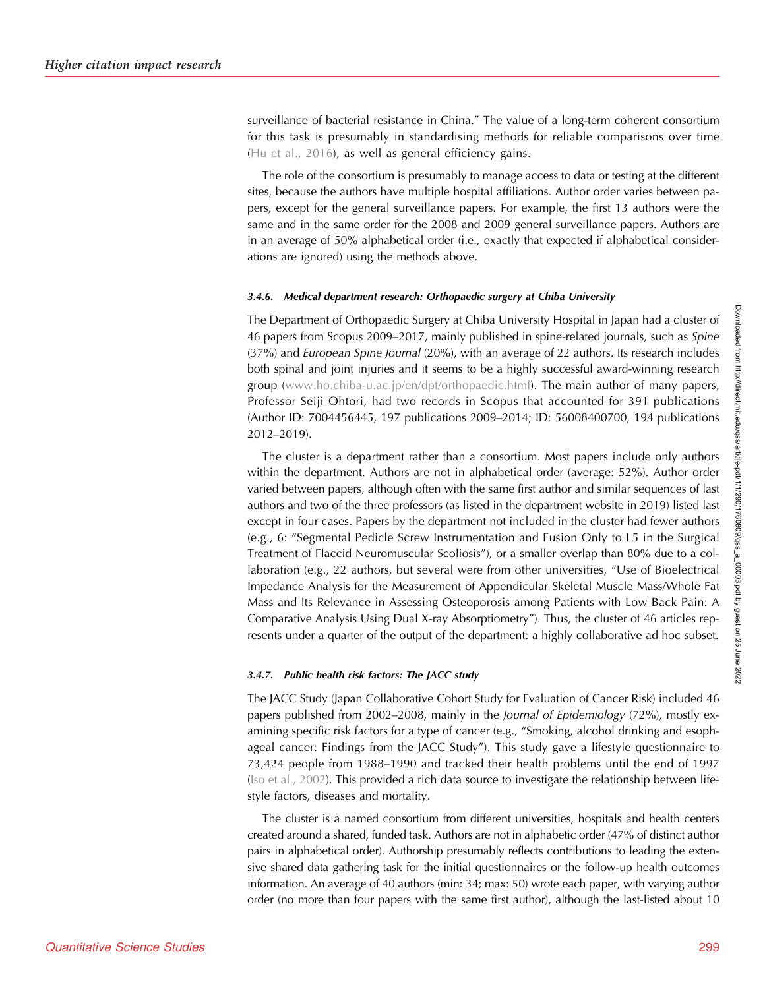surveillance of bacterial resistance in China." The value of a long-term coherent consortium for this task is presumably in standardising methods for reliable comparisons over time ([Hu et al., 2016\)](#page-12-0), as well as general efficiency gains.

The role of the consortium is presumably to manage access to data or testing at the different sites, because the authors have multiple hospital affiliations. Author order varies between papers, except for the general surveillance papers. For example, the first 13 authors were the same and in the same order for the 2008 and 2009 general surveillance papers. Authors are in an average of 50% alphabetical order (i.e., exactly that expected if alphabetical considerations are ignored) using the methods above.

#### 3.4.6. Medical department research: Orthopaedic surgery at Chiba University

The Department of Orthopaedic Surgery at Chiba University Hospital in Japan had a cluster of 46 papers from Scopus 2009-2017, mainly published in spine-related journals, such as Spine (37%) and European Spine Journal (20%), with an average of 22 authors. Its research includes both spinal and joint injuries and it seems to be a highly successful award-winning research group [\(www.ho.chiba-u.ac.jp/en/dpt/orthopaedic.html\)](http://www.ho.chiba-u.ac.jp/en/dpt/orthopaedic.html). The main author of many papers, Professor Seiji Ohtori, had two records in Scopus that accounted for 391 publications (Author ID: 7004456445, 197 publications 2009–2014; ID: 56008400700, 194 publications 2012–2019).

The cluster is a department rather than a consortium. Most papers include only authors within the department. Authors are not in alphabetical order (average: 52%). Author order varied between papers, although often with the same first author and similar sequences of last authors and two of the three professors (as listed in the department website in 2019) listed last except in four cases. Papers by the department not included in the cluster had fewer authors (e.g., 6: "Segmental Pedicle Screw Instrumentation and Fusion Only to L5 in the Surgical Treatment of Flaccid Neuromuscular Scoliosis"), or a smaller overlap than 80% due to a collaboration (e.g., 22 authors, but several were from other universities, "Use of Bioelectrical Impedance Analysis for the Measurement of Appendicular Skeletal Muscle Mass/Whole Fat Mass and Its Relevance in Assessing Osteoporosis among Patients with Low Back Pain: A Comparative Analysis Using Dual X-ray Absorptiometry"). Thus, the cluster of 46 articles represents under a quarter of the output of the department: a highly collaborative ad hoc subset.

## 3.4.7. Public health risk factors: The JACC study

The JACC Study (Japan Collaborative Cohort Study for Evaluation of Cancer Risk) included 46 papers published from 2002–2008, mainly in the Journal of Epidemiology (72%), mostly examining specific risk factors for a type of cancer (e.g., "Smoking, alcohol drinking and esophageal cancer: Findings from the JACC Study"). This study gave a lifestyle questionnaire to 73,424 people from 1988–1990 and tracked their health problems until the end of 1997 ([Iso et al., 2002\)](#page-12-0). This provided a rich data source to investigate the relationship between lifestyle factors, diseases and mortality.

The cluster is a named consortium from different universities, hospitals and health centers created around a shared, funded task. Authors are not in alphabetic order (47% of distinct author pairs in alphabetical order). Authorship presumably reflects contributions to leading the extensive shared data gathering task for the initial questionnaires or the follow-up health outcomes information. An average of 40 authors (min: 34; max: 50) wrote each paper, with varying author order (no more than four papers with the same first author), although the last-listed about 10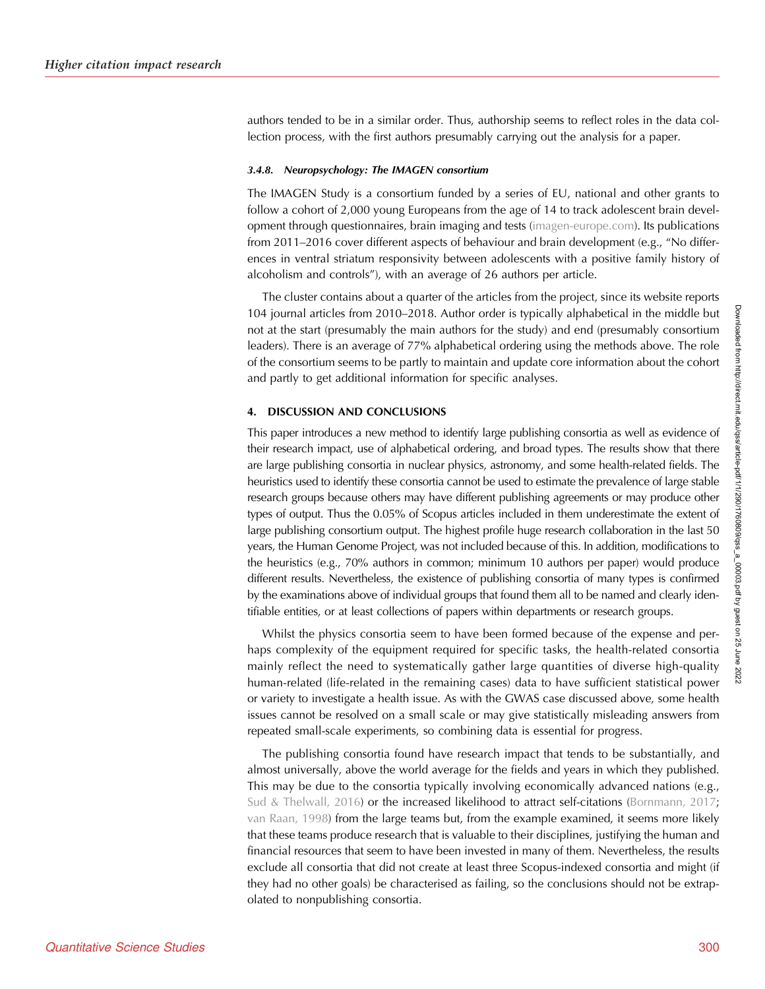authors tended to be in a similar order. Thus, authorship seems to reflect roles in the data collection process, with the first authors presumably carrying out the analysis for a paper.

#### 3.4.8. Neuropsychology: The IMAGEN consortium

The IMAGEN Study is a consortium funded by a series of EU, national and other grants to follow a cohort of 2,000 young Europeans from the age of 14 to track adolescent brain development through questionnaires, brain imaging and tests [\(imagen-europe.com\)](http://imagen-europe.com). Its publications from 2011–2016 cover different aspects of behaviour and brain development (e.g., "No differences in ventral striatum responsivity between adolescents with a positive family history of alcoholism and controls"), with an average of 26 authors per article.

The cluster contains about a quarter of the articles from the project, since its website reports 104 journal articles from 2010–2018. Author order is typically alphabetical in the middle but not at the start (presumably the main authors for the study) and end (presumably consortium leaders). There is an average of 77% alphabetical ordering using the methods above. The role of the consortium seems to be partly to maintain and update core information about the cohort and partly to get additional information for specific analyses.

## 4. DISCUSSION AND CONCLUSIONS

This paper introduces a new method to identify large publishing consortia as well as evidence of their research impact, use of alphabetical ordering, and broad types. The results show that there are large publishing consortia in nuclear physics, astronomy, and some health-related fields. The heuristics used to identify these consortia cannot be used to estimate the prevalence of large stable research groups because others may have different publishing agreements or may produce other types of output. Thus the 0.05% of Scopus articles included in them underestimate the extent of large publishing consortium output. The highest profile huge research collaboration in the last 50 years, the Human Genome Project, was not included because of this. In addition, modifications to the heuristics (e.g., 70% authors in common; minimum 10 authors per paper) would produce different results. Nevertheless, the existence of publishing consortia of many types is confirmed by the examinations above of individual groups that found them all to be named and clearly identifiable entities, or at least collections of papers within departments or research groups.

Whilst the physics consortia seem to have been formed because of the expense and perhaps complexity of the equipment required for specific tasks, the health-related consortia mainly reflect the need to systematically gather large quantities of diverse high-quality human-related (life-related in the remaining cases) data to have sufficient statistical power or variety to investigate a health issue. As with the GWAS case discussed above, some health issues cannot be resolved on a small scale or may give statistically misleading answers from repeated small-scale experiments, so combining data is essential for progress.

The publishing consortia found have research impact that tends to be substantially, and almost universally, above the world average for the fields and years in which they published. This may be due to the consortia typically involving economically advanced nations (e.g., [Sud & Thelwall, 2016\)](#page-12-0) or the increased likelihood to attract self-citations [\(Bornmann, 2017](#page-11-0); [van Raan, 1998\)](#page-12-0) from the large teams but, from the example examined, it seems more likely that these teams produce research that is valuable to their disciplines, justifying the human and financial resources that seem to have been invested in many of them. Nevertheless, the results exclude all consortia that did not create at least three Scopus-indexed consortia and might (if they had no other goals) be characterised as failing, so the conclusions should not be extrapolated to nonpublishing consortia.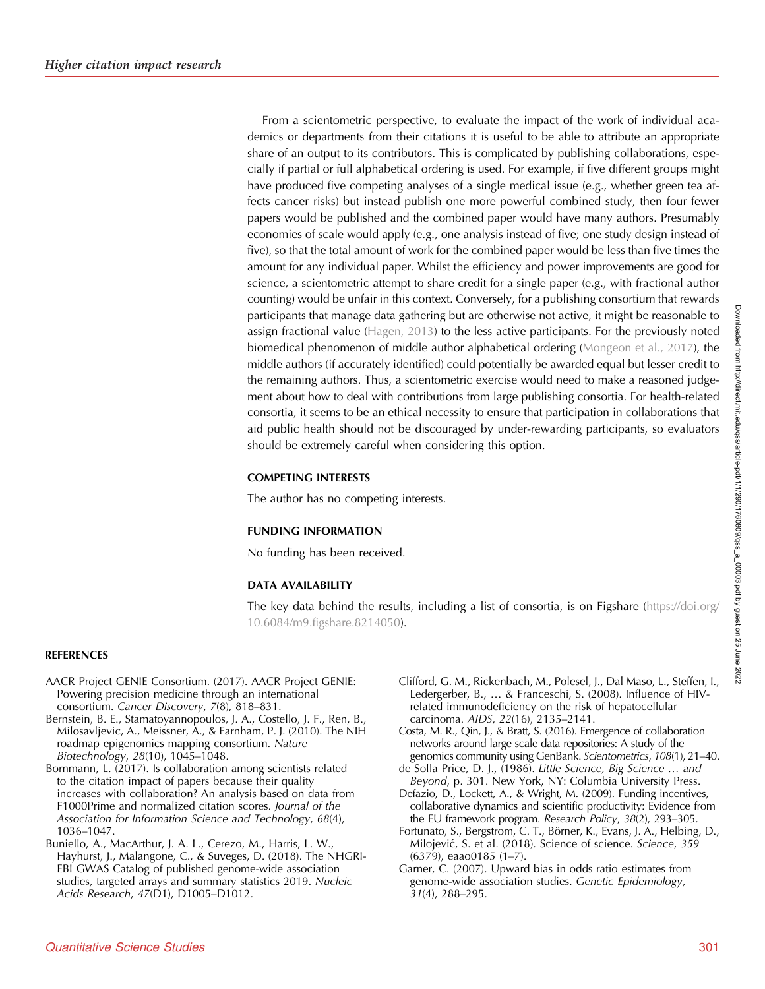<span id="page-11-0"></span>From a scientometric perspective, to evaluate the impact of the work of individual academics or departments from their citations it is useful to be able to attribute an appropriate share of an output to its contributors. This is complicated by publishing collaborations, especially if partial or full alphabetical ordering is used. For example, if five different groups might have produced five competing analyses of a single medical issue (e.g., whether green tea affects cancer risks) but instead publish one more powerful combined study, then four fewer papers would be published and the combined paper would have many authors. Presumably economies of scale would apply (e.g., one analysis instead of five; one study design instead of five), so that the total amount of work for the combined paper would be less than five times the amount for any individual paper. Whilst the efficiency and power improvements are good for science, a scientometric attempt to share credit for a single paper (e.g., with fractional author counting) would be unfair in this context. Conversely, for a publishing consortium that rewards participants that manage data gathering but are otherwise not active, it might be reasonable to assign fractional value [\(Hagen, 2013](#page-12-0)) to the less active participants. For the previously noted biomedical phenomenon of middle author alphabetical ordering ([Mongeon et al., 2017](#page-12-0)), the middle authors (if accurately identified) could potentially be awarded equal but lesser credit to the remaining authors. Thus, a scientometric exercise would need to make a reasoned judgement about how to deal with contributions from large publishing consortia. For health-related consortia, it seems to be an ethical necessity to ensure that participation in collaborations that aid public health should not be discouraged by under-rewarding participants, so evaluators should be extremely careful when considering this option.

## COMPETING INTERESTS

The author has no competing interests.

## FUNDING INFORMATION

No funding has been received.

# DATA AVAILABILITY

The key data behind the results, including a list of consortia, is on Figshare ([https://doi.org/](https://doi.org/10.6084/m9.figshare.8214050) [10.6084/m9.figshare.8214050\)](https://doi.org/10.6084/m9.figshare.8214050).

## REFERENCES

- AACR Project GENIE Consortium. (2017). AACR Project GENIE: Powering precision medicine through an international consortium. Cancer Discovery, 7(8), 818–831.
- Bernstein, B. E., Stamatoyannopoulos, J. A., Costello, J. F., Ren, B., Milosavljevic, A., Meissner, A., & Farnham, P. J. (2010). The NIH roadmap epigenomics mapping consortium. Nature Biotechnology, 28(10), 1045–1048.
- Bornmann, L. (2017). Is collaboration among scientists related to the citation impact of papers because their quality increases with collaboration? An analysis based on data from F1000Prime and normalized citation scores. Journal of the Association for Information Science and Technology, 68(4), 1036–1047.
- Buniello, A., MacArthur, J. A. L., Cerezo, M., Harris, L. W., Hayhurst, J., Malangone, C., & Suveges, D. (2018). The NHGRI-EBI GWAS Catalog of published genome-wide association studies, targeted arrays and summary statistics 2019. Nucleic Acids Research, 47(D1), D1005-D1012.
- Clifford, G. M., Rickenbach, M., Polesel, J., Dal Maso, L., Steffen, I., Ledergerber, B., … & Franceschi, S. (2008). Influence of HIVrelated immunodeficiency on the risk of hepatocellular carcinoma. AIDS, 22(16), 2135–2141.
- Costa, M. R., Qin, J., & Bratt, S. (2016). Emergence of collaboration networks around large scale data repositories: A study of the genomics community using GenBank. Scientometrics, 108(1), 21–40.
- de Solla Price, D. J., (1986). Little Science, Big Science … and Beyond, p. 301. New York, NY: Columbia University Press.
- Defazio, D., Lockett, A., & Wright, M. (2009). Funding incentives, collaborative dynamics and scientific productivity: Evidence from the EU framework program. Research Policy, 38(2), 293–305.
- Fortunato, S., Bergstrom, C. T., Börner, K., Evans, J. A., Helbing, D., Milojević, S. et al. (2018). Science of science. Science, 359 (6379), eaao0185 (1–7).
- Garner, C. (2007). Upward bias in odds ratio estimates from genome-wide association studies. Genetic Epidemiology, 31(4), 288–295.